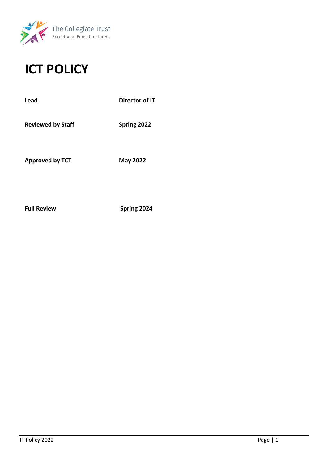

# **ICT POLICY**

| Director of IT  |
|-----------------|
| Spring 2022     |
| <b>May 2022</b> |
|                 |

**Full Review Spring 2024**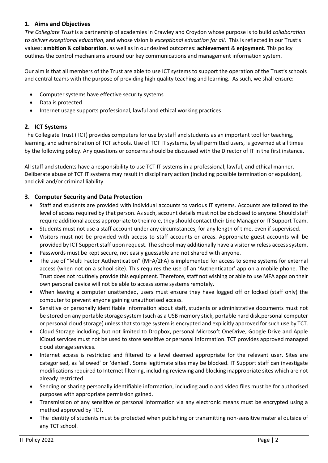## **1. Aims and Objectives**

*The Collegiate Trust* is a partnership of academies in Crawley and Croydon whose purpose is to build *collaboration to deliver exceptional education*, and whose vision is *exceptional education for all*. This is reflected in our Trust's values: **ambition** & **collaboration**, as well as in our desired outcomes: **achievement** & **enjoyment**. This policy outlines the control mechanisms around our key communications and management information system.

Our aim is that all members of the Trust are able to use ICT systems to support the operation of the Trust's schools and central teams with the purpose of providing high quality teaching and learning. As such, we shall ensure:

- Computer systems have effective security systems
- Data is protected
- Internet usage supports professional, lawful and ethical working practices

## **2. ICT Systems**

The Collegiate Trust (TCT) provides computers for use by staff and students as an important tool for teaching, learning, and administration of TCT schools. Use of TCT IT systems, by all permitted users, is governed at all times by the following policy. Any questions or concerns should be discussed with the Director of IT in the first instance.

All staff and students have a responsibility to use TCT IT systems in a professional, lawful, and ethical manner. Deliberate abuse of TCT IT systems may result in disciplinary action (including possible termination or expulsion), and civil and/or criminal liability.

## **3. Computer Security and Data Protection**

- Staff and students are provided with individual accounts to various IT systems. Accounts are tailored to the level of access required by that person. As such, account details must not be disclosed to anyone. Should staff require additional access appropriate to their role, they should contact their Line Manager or IT Support Team.
- Students must not use a staff account under any circumstances, for any length of time, even if supervised.
- Visitors must not be provided with access to staff accounts or areas. Appropriate guest accounts will be provided by ICT Support staff upon request. The school may additionally have a visitor wireless access system.
- Passwords must be kept secure, not easily guessable and not shared with anyone.
- The use of "Multi Factor Authentication" (MFA/2FA) is implemented for access to some systems for external access (when not on a school site). This requires the use of an 'Authenticator' app on a mobile phone. The Trust does not routinely provide this equipment. Therefore, staff not wishing or able to use MFA apps on their own personal device will not be able to access some systems remotely.
- When leaving a computer unattended, users must ensure they have logged off or locked (staff only) the computer to prevent anyone gaining unauthorised access.
- Sensitive or personally identifiable information about staff, students or administrative documents must not be stored on any portable storage system (such as a USB memory stick, portable hard disk,personal computer or personal cloud storage) unless that storage system is encrypted and explicitly approved for such use by TCT.
- Cloud Storage including, but not limited to Dropbox, personal Microsoft OneDrive, Google Drive and Apple iCloud services must not be used to store sensitive or personal information. TCT provides approved managed cloud storage services.
- Internet access is restricted and filtered to a level deemed appropriate for the relevant user. Sites are categorised, as 'allowed' or 'denied'. Some legitimate sites may be blocked. IT Support staff can investigate modifications required to Internet filtering, including reviewing and blocking inappropriate sites which are not already restricted
- Sending or sharing personally identifiable information, including audio and video files must be for authorised purposes with appropriate permission gained.
- Transmission of any sensitive or personal information via any electronic means must be encrypted using a method approved by TCT.
- The identity of students must be protected when publishing or transmitting non-sensitive material outside of any TCT school.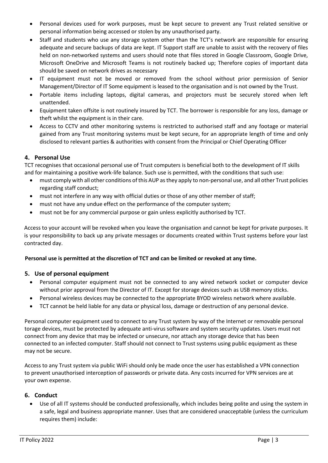- Personal devices used for work purposes, must be kept secure to prevent any Trust related sensitive or personal information being accessed or stolen by any unauthorised party.
- Staff and students who use any storage system other than the TCT's network are responsible for ensuring adequate and secure backups of data are kept. IT Support staff are unable to assist with the recovery of files held on non-networked systems and users should note that files stored in Google Classroom, Google Drive, Microsoft OneDrive and Microsoft Teams is not routinely backed up; Therefore copies of important data should be saved on network drives as necessary
- IT equipment must not be moved or removed from the school without prior permission of Senior Management/Director of IT Some equipment is leased to the organisation and is not owned by the Trust.
- Portable items including laptops, digital cameras, and projectors must be securely stored when left unattended.
- Equipment taken offsite is not routinely insured by TCT. The borrower is responsible for any loss, damage or theft whilst the equipment is in their care.
- Access to CCTV and other monitoring systems is restricted to authorised staff and any footage or material gained from any Trust monitoring systems must be kept secure, for an appropriate length of time and only disclosed to relevant parties & authorities with consent from the Principal or Chief Operating Officer

## **4. Personal Use**

TCT recognises that occasional personal use of Trust computers is beneficial both to the development of IT skills and for maintaining a positive work-life balance. Such use is permitted, with the conditions that such use:

- must comply with all other conditions of this AUP as they apply to non-personal use, and all other Trust policies regarding staff conduct;
- must not interfere in any way with official duties or those of any other member of staff;
- must not have any undue effect on the performance of the computer system;
- must not be for any commercial purpose or gain unless explicitly authorised by TCT.

Access to your account will be revoked when you leave the organisation and cannot be kept for private purposes. It is your responsibility to back up any private messages or documents created within Trust systems before your last contracted day.

#### **Personal use is permitted at the discretion of TCT and can be limited or revoked at any time.**

## **5. Use of personal equipment**

- Personal computer equipment must not be connected to any wired network socket or computer device without prior approval from the Director of IT. Except for storage devices such as USB memory sticks.
- Personal wireless devices may be connected to the appropriate BYOD wireless network where available.
- TCT cannot be held liable for any data or physical loss, damage or destruction of any personal device.

Personal computer equipment used to connect to any Trust system by way of the Internet or removable personal torage devices, must be protected by adequate anti-virus software and system security updates. Users must not connect from any device that may be infected or unsecure, nor attach any storage device that has been connected to an infected computer. Staff should not connect to Trust systems using public equipment as these may not be secure.

Access to any Trust system via public WiFi should only be made once the user has established a VPN connection to prevent unauthorised interception of passwords or private data. Any costs incurred for VPN services are at your own expense.

#### **6. Conduct**

• Use of all IT systems should be conducted professionally, which includes being polite and using the system in a safe, legal and business appropriate manner. Uses that are considered unacceptable (unless the curriculum requires them) include: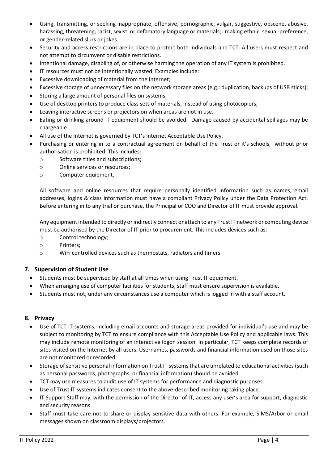- Using, transmitting, or seeking inappropriate, offensive, pornographic, vulgar, suggestive, obscene, abusive, harassing, threatening, racist, sexist, or defamatory language or materials; making ethnic, sexual-preference, or gender-related slurs or jokes.
- Security and access restrictions are in place to protect both individuals and TCT. All users must respect and not attempt to circumvent or disable restrictions.
- Intentional damage, disabling of, or otherwise harming the operation of any IT system is prohibited.
- IT resources must not be intentionally wasted. Examples include:
- Excessive downloading of material from the Internet;
- Excessive storage of unnecessary files on the network storage areas (e.g.: duplication, backups of USB sticks);
- Storing a large amount of personal files on systems;
- Use of desktop printers to produce class sets of materials, instead of using photocopiers;
- Leaving interactive screens or projectors on when areas are not in use.
- Eating or drinking around IT equipment should be avoided. Damage caused by accidental spillages may be chargeable.
- All use of the Internet is governed by TCT's Internet Acceptable Use Policy.
- Purchasing or entering in to a contractual agreement on behalf of the Trust or it's schools, without prior authorisation is prohibited. This includes:
	- o Software titles and subscriptions;
	- o Online services or resources;
	- o Computer equipment.

All software and online resources that require personally identified information such as names, email addresses, logins & class information must have a compliant Privacy Policy under the Data Protection Act. Before entering in to any trial or purchase, the Principal or COO and Director of IT must provide approval.

Any equipment intended to directly or indirectly connect or attach to any Trust IT network or computing device must be authorised by the Director of IT prior to procurement. This includes devices such as:

- o Control technology;
- o Printers;
- o WiFi controlled devices such as thermostats, radiators and timers.

## **7. Supervision of Student Use**

- Students must be supervised by staff at all times when using Trust IT equipment.
- When arranging use of computer facilities for students, staff must ensure supervision is available.
- Students must not, under any circumstances use a computer which is logged in with a staff account.

#### **8. Privacy**

- Use of TCT IT systems, including email accounts and storage areas provided for individual's use and may be subject to monitoring by TCT to ensure compliance with this Acceptable Use Policy and applicable laws. This may include remote monitoring of an interactive logon session. In particular, TCT keeps complete records of sites visited on the Internet by all users. Usernames, passwords and financial information used on those sites are not monitored or recorded.
- Storage of sensitive personal information on Trust IT systems that are unrelated to educational activities (such as personal passwords, photographs, or financial information) should be avoided.
- TCT may use measures to audit use of IT systems for performance and diagnostic purposes.
- Use of Trust IT systems indicates consent to the above-described monitoring taking place.
- IT Support Staff may, with the permission of the Director of IT, access any user's area for support, diagnostic and security reasons.
- Staff must take care not to share or display sensitive data with others. For example, SIMS/Arbor or email messages shown on classroom displays/projectors.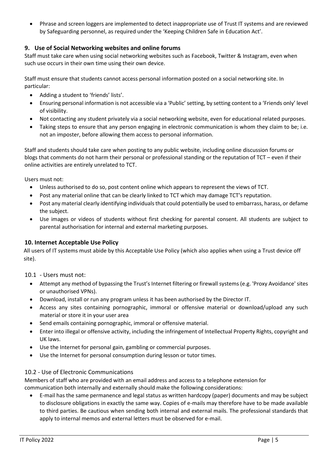• Phrase and screen loggers are implemented to detect inappropriate use of Trust IT systems and are reviewed by Safeguarding personnel, as required under the 'Keeping Children Safe in Education Act'.

## **9. Use of Social Networking websites and online forums**

Staff must take care when using social networking websites such as Facebook, Twitter & Instagram, even when such use occurs in their own time using their own device.

Staff must ensure that students cannot access personal information posted on a social networking site. In particular:

- Adding a student to 'friends' lists'.
- Ensuring personal information is not accessible via a 'Public' setting, by setting content to a 'Friends only' level of visibility.
- Not contacting any student privately via a social networking website, even for educational related purposes.
- Taking steps to ensure that any person engaging in electronic communication is whom they claim to be; i.e. not an imposter, before allowing them access to personal information.

Staff and students should take care when posting to any public website, including online discussion forums or blogs that comments do not harm their personal or professional standing or the reputation of TCT – even if their online activities are entirely unrelated to TCT.

Users must not:

- Unless authorised to do so, post content online which appears to represent the views of TCT.
- Post any material online that can be clearly linked to TCT which may damage TCT's reputation.
- Post any material clearly identifying individuals that could potentially be used to embarrass, harass, or defame the subject.
- Use images or videos of students without first checking for parental consent. All students are subject to parental authorisation for internal and external marketing purposes.

#### **10. Internet Acceptable Use Policy**

All users of IT systems must abide by this Acceptable Use Policy (which also applies when using a Trust device off site).

10.1 - Users must not:

- Attempt any method of bypassing the Trust's Internet filtering or firewall systems (e.g. 'Proxy Avoidance' sites or unauthorised VPNs).
- Download, install or run any program unless it has been authorised by the Director IT.
- Access any sites containing pornographic, immoral or offensive material or download/upload any such material or store it in your user area
- Send emails containing pornographic, immoral or offensive material.
- Enter into illegal or offensive activity, including the infringement of Intellectual Property Rights, copyright and UK laws.
- Use the Internet for personal gain, gambling or commercial purposes.
- Use the Internet for personal consumption during lesson or tutor times.

#### 10.2 - Use of Electronic Communications

Members of staff who are provided with an email address and access to a telephone extension for communication both internally and externally should make the following considerations:

• E-mail has the same permanence and legal status as written hardcopy (paper) documents and may be subject to disclosure obligations in exactly the same way. Copies of e-mails may therefore have to be made available to third parties. Be cautious when sending both internal and external mails. The professional standards that apply to internal memos and external letters must be observed for e-mail.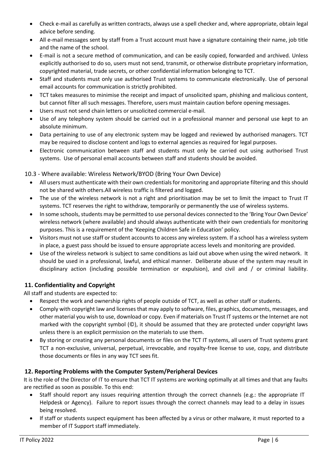- Check e-mail as carefully as written contracts, always use a spell checker and, where appropriate, obtain legal advice before sending.
- All e-mail messages sent by staff from a Trust account must have a signature containing their name, job title and the name of the school.
- E-mail is not a secure method of communication, and can be easily copied, forwarded and archived. Unless explicitly authorised to do so, users must not send, transmit, or otherwise distribute proprietary information, copyrighted material, trade secrets, or other confidential information belonging to TCT.
- Staff and students must only use authorised Trust systems to communicate electronically. Use of personal email accounts for communication is strictly prohibited.
- TCT takes measures to minimise the receipt and impact of unsolicited spam, phishing and malicious content, but cannot filter all such messages. Therefore, users must maintain caution before opening messages.
- Users must not send chain letters or unsolicited commercial e-mail.
- Use of any telephony system should be carried out in a professional manner and personal use kept to an absolute minimum.
- Data pertaining to use of any electronic system may be logged and reviewed by authorised managers. TCT may be required to disclose content and logs to external agencies as required for legal purposes.
- Electronic communication between staff and students must only be carried out using authorised Trust systems. Use of personal email accounts between staff and students should be avoided.

# 10.3 - Where available: Wireless Network/BYOD (Bring Your Own Device)

- All users must authenticate with their own credentials for monitoring and appropriate filtering and this should not be shared with others.All wireless traffic is filtered and logged.
- The use of the wireless network is not a right and prioritisation may be set to limit the impact to Trust IT systems. TCT reserves the right to withdraw, temporarily or permanently the use of wireless systems.
- In some schools, students may be permitted to use personal devices connected to the 'Bring Your Own Device' wireless network (where available) and should always authenticate with their own credentials for monitoring purposes. This is a requirement of the 'Keeping Children Safe in Education' policy.
- Visitors must not use staff or student accounts to access any wireless system. If a school has a wireless system in place, a guest pass should be issued to ensure appropriate access levels and monitoring are provided.
- Use of the wireless network is subject to same conditions as laid out above when using the wired network. It should be used in a professional, lawful, and ethical manner. Deliberate abuse of the system may result in disciplinary action (including possible termination or expulsion), and civil and / or criminal liability.

# **11. Confidentiality and Copyright**

All staff and students are expected to:

- Respect the work and ownership rights of people outside of TCT, as well as other staff or students.
- Comply with copyright law and licenses that may apply to software, files, graphics, documents, messages, and other material you wish to use, download or copy. Even if materials on Trust IT systems or the Internet are not marked with the copyright symbol (©), it should be assumed that they are protected under copyright laws unless there is an explicit permission on the materials to use them.
- By storing or creating any personal documents or files on the TCT IT systems, all users of Trust systems grant TCT a non-exclusive, universal, perpetual, irrevocable, and royalty-free license to use, copy, and distribute those documents or files in any way TCT sees fit.

## **12. Reporting Problems with the Computer System/Peripheral Devices**

It is the role of the Director of IT to ensure that TCT IT systems are working optimally at all times and that any faults are rectified as soon as possible. To this end:

- Staff should report any issues requiring attention through the correct channels (e.g.: the appropriate IT Helpdesk or Agency). Failure to report issues through the correct channels may lead to a delay in issues being resolved.
- If staff or students suspect equipment has been affected by a virus or other malware, it must reported to a member of IT Support staff immediately.